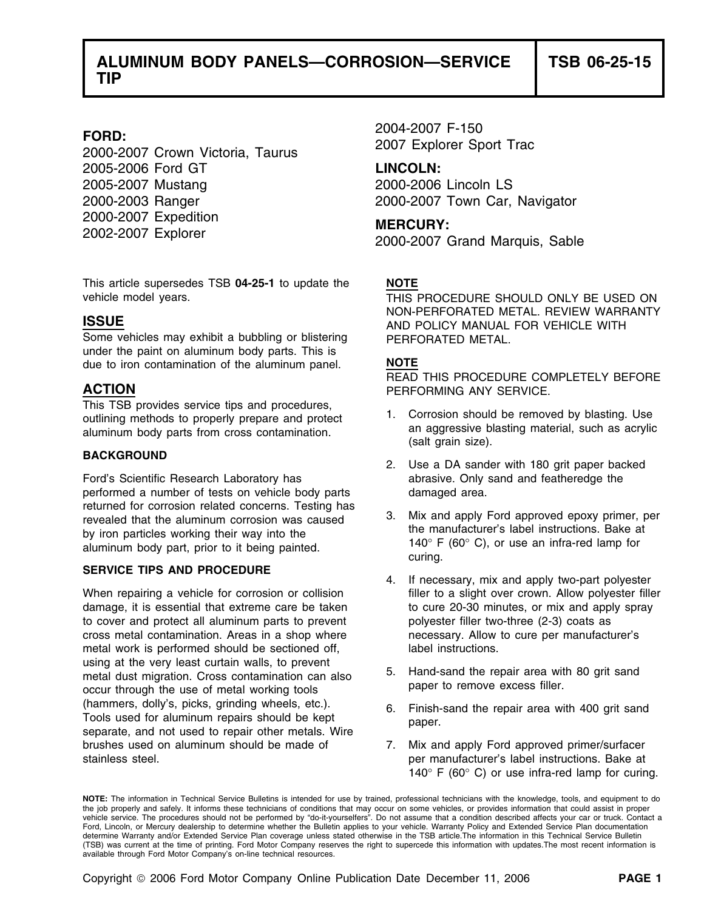2005-2006 Ford GT **LINCOLN:** 2005-2007 Mustang 2000-2006 Lincoln LS 2000-2003 Ranger 2000-2007 Town Car, Navigator 2000-2007 Expedition **MERCURY:** 2002-2007 Explorer 2000-2007 Grand Marquis, Sable

This article supersedes TSB **04-25-1** to update the **NOTE**

Some vehicles may exhibit a bubbling or blistering PERFORATED METAL. under the paint on aluminum body parts. This is due to iron contamination of the aluminum panel. **NOTE**

## **BACKGROUND**

Ford's Scientific Research Laboratory has abrasive. Only sand and featheredge the performed a number of tests on vehicle body parts damaged area. returned for corrosion related concerns. Testing has<br>
13. Mix and apply Ford approved epoxy primer, per<br>
the manufacturer's label instructions. Bake at<br>
the manufacturer's label instructions. Bake at

### **SERVICE TIPS AND PROCEDURE**

damage, it is essential that extreme care be taken to cure 20-30 minutes, or mix and apply spray to cover and protect all aluminum parts to prevent polyester filler two-three (2-3) coats as cross metal contamination. Areas in a shop where necessary. Allow to cure per manufacturer's metal work is performed should be sectioned off, and label instructions. using at the very least curtain walls, to prevent metal dust migration. Cross contamination can also 5. Hand-sand the repair area with 80 grit sand<br>executive the use of motel working tools. Suppose to remove excess filler. occur through the use of metal working tools (hammers, dolly's, picks, grinding wheels, etc.).<br>
Tools used for aluminum repairs should be kept paper.<br>
separate, and not used to repair other metals. Wire<br>
paper. brushes used on aluminum should be made of 7. Mix and apply Ford approved primer/surfacer stainless steel. per manufacturer's label instructions. Bake at

2004-2007 F-150 **FORD:** 2007 Explorer Sport Trac 2000-2007 Crown Victoria, Taurus

vehicle model years. THIS PROCEDURE SHOULD ONLY BE USED ON NON-PERFORATED METAL. REVIEW WARRANTY **ISSUE** AND POLICY MANUAL FOR VEHICLE WITH

READ THIS PROCEDURE COMPLETELY BEFORE **ACTION** PERFORMING ANY SERVICE.

- This TSB provides service tips and procedures,<br>outlining methods to properly prepare and protect aluminum body parts from cross contamination.<br>aluminum body parts from cross contamination.<br>(salt grain size).
	- 2. Use a DA sander with 180 grit paper backed
- by iron particles working their way into the the the the instructions. Bake at at a duminum body part, prior to it being painted.  $140^{\circ}$  F (60° C), or use an infra-red lamp for curing.
- 4. If necessary, mix and apply two-part polyester When repairing a vehicle for corrosion or collision filler to a slight over crown. Allow polyester filler
	-
	-
	- 140° F (60° C) or use infra-red lamp for curing.

**NOTE:** The information in Technical Service Bulletins is intended for use by trained, professional technicians with the knowledge, tools, and equipment to do the job properly and safely. It informs these technicians of conditions that may occur on some vehicles, or provides information that could assist in proper<br>vehicle service. The procedures should not be performed by "do-it Ford, Lincoln, or Mercury dealership to determine whether the Bulletin applies to your vehicle. Warranty Policy and Extended Service Plan documentation determine Warranty and/or Extended Service Plan coverage unless stated otherwise in the TSB article.The information in this Technical Service Bulletin (TSB) was current at the time of printing. Ford Motor Company reserves the right to supercede this information with updates.The most recent information is available through Ford Motor Company's on-line technical resources.